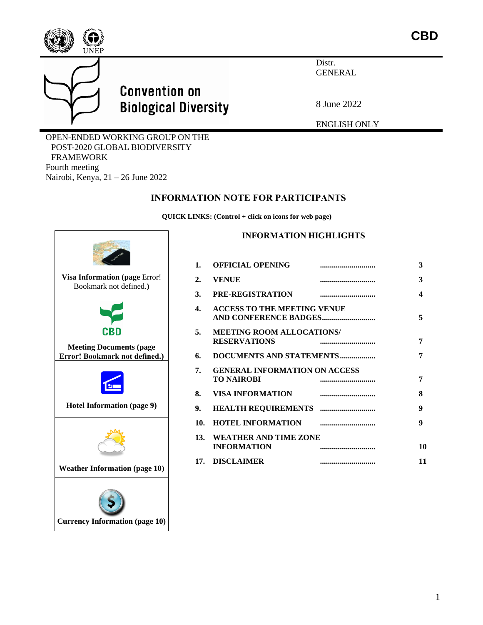



# **Convention on Biological Diversity**

8 June 2022

Distr. GENERAL

ENGLISH ONLY

OPEN-ENDED WORKING GROUP ON THE POST-2020 GLOBAL BIODIVERSITY FRAMEWORK Fourth meeting Nairobi, Kenya, 21 – 26 June 2022

# **INFORMATION NOTE FOR PARTICIPANTS**

**QUICK LINKS: (Control + click on icons for web page)**



## **INFORMATION HIGHLIGHTS**

| 1.                 | <b>OFFICIAL OPENING</b>                                 | 3      |
|--------------------|---------------------------------------------------------|--------|
| 2.                 | <b>VENUE</b>                                            | <br>3  |
| 3.                 | <b>PRE-REGISTRATION</b>                                 | <br>4  |
| $\boldsymbol{4}$ . | <b>ACCESS TO THE MEETING VENUE</b>                      | 5      |
| 5.                 | <b>MEETING ROOM ALLOCATIONS/</b><br><b>RESERVATIONS</b> | 7      |
| 6.                 | DOCUMENTS AND STATEMENTS                                | 7      |
| 7.                 | <b>GENERAL INFORMATION ON ACCESS</b><br>TO NAIROBI      | 7      |
| 8.                 | <b>VISA INFORMATION</b>                                 | 8      |
| 9.                 |                                                         | 9      |
| 10.                |                                                         | 9      |
| 13.                | <b>WEATHER AND TIME ZONE</b><br><b>INFORMATION</b>      | 10     |
|                    | 17. DISCLAIMER                                          | <br>11 |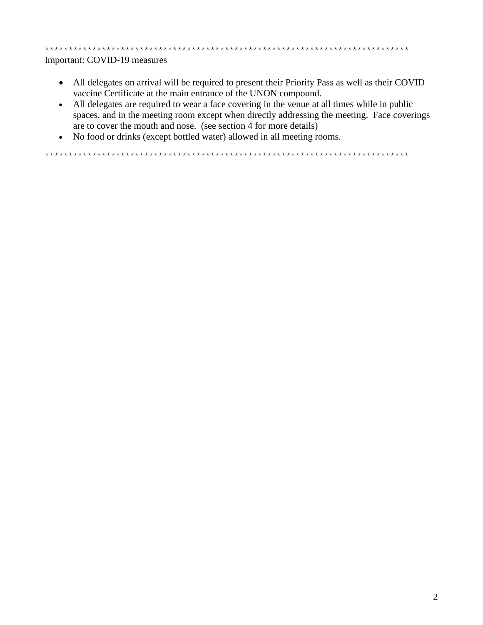#### \*\*\*\*\*\*\*\*\*\*\*\*\*\*\*\*\*\*\*\*\*\*\*\*\*\*\*\*\*\*\*\*\*\*\*\*\*\*\*\*\*\*\*\*\*\*\*\*\*\*\*\*\*\*\*\*\*\*\*\*\*\*\*\*\*\*\*\*\*\*\*\*\*\*\*\*\* Important: COVID-19 measures

# • All delegates on arrival will be required to present their Priority Pass as well as their COVID vaccine Certificate at the main entrance of the UNON compound.

- All delegates are required to wear a face covering in the venue at all times while in public spaces, and in the meeting room except when directly addressing the meeting. Face coverings are to cover the mouth and nose. (see section 4 for more details)
- No food or drinks (except bottled water) allowed in all meeting rooms.

\*\*\*\*\*\*\*\*\*\*\*\*\*\*\*\*\*\*\*\*\*\*\*\*\*\*\*\*\*\*\*\*\*\*\*\*\*\*\*\*\*\*\*\*\*\*\*\*\*\*\*\*\*\*\*\*\*\*\*\*\*\*\*\*\*\*\*\*\*\*\*\*\*\*\*\*\*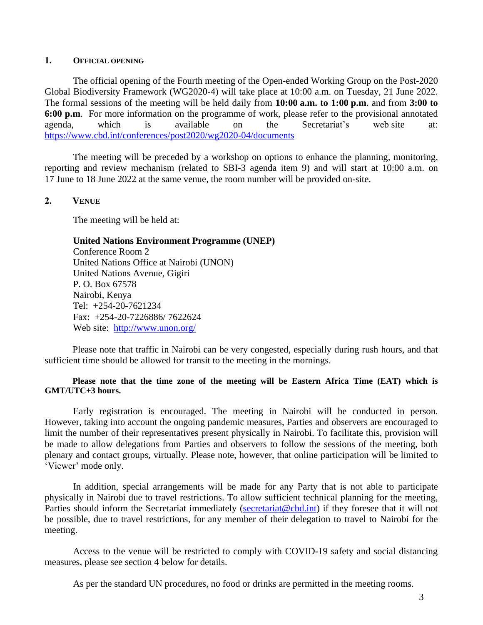#### **1. OFFICIAL OPENING**

The official opening of the Fourth meeting of the Open-ended Working Group on the Post-2020 Global Biodiversity Framework (WG2020-4) will take place at 10:00 a.m. on Tuesday, 21 June 2022. The formal sessions of the meeting will be held daily from **10:00 a.m. to 1:00 p.m**. and from **3:00 to 6:00 p.m**. For more information on the programme of work, please refer to the provisional annotated agenda, which is available on the Secretariat's web site at: <https://www.cbd.int/conferences/post2020/wg2020-04/documents>

The meeting will be preceded by a workshop on options to enhance the planning, monitoring, reporting and review mechanism (related to SBI-3 agenda item 9) and will start at 10:00 a.m. on 17 June to 18 June 2022 at the same venue, the room number will be provided on-site.

#### **2. VENUE**

The meeting will be held at:

#### **United Nations Environment Programme (UNEP)**

Conference Room 2 United Nations Office at Nairobi (UNON) United Nations Avenue, Gigiri P. O. Box 67578 Nairobi, Kenya Tel: +254-20-7621234 Fax: +254-20-7226886/ 7622624 Web site: <http://www.unon.org/>

Please note that traffic in Nairobi can be very congested, especially during rush hours, and that sufficient time should be allowed for transit to the meeting in the mornings.

#### **Please note that the time zone of the meeting will be Eastern Africa Time (EAT) which is GMT/UTC+3 hours.**

Early registration is encouraged. The meeting in Nairobi will be conducted in person. However, taking into account the ongoing pandemic measures, Parties and observers are encouraged to limit the number of their representatives present physically in Nairobi. To facilitate this, provision will be made to allow delegations from Parties and observers to follow the sessions of the meeting, both plenary and contact groups, virtually. Please note, however, that online participation will be limited to 'Viewer' mode only.

In addition, special arrangements will be made for any Party that is not able to participate physically in Nairobi due to travel restrictions. To allow sufficient technical planning for the meeting, Parties should inform the Secretariat immediately [\(secretariat@cbd.int\)](mailto:secretariat@cbd.int) if they foresee that it will not be possible, due to travel restrictions, for any member of their delegation to travel to Nairobi for the meeting.

Access to the venue will be restricted to comply with COVID-19 safety and social distancing measures, please see section 4 below for details.

As per the standard UN procedures, no food or drinks are permitted in the meeting rooms.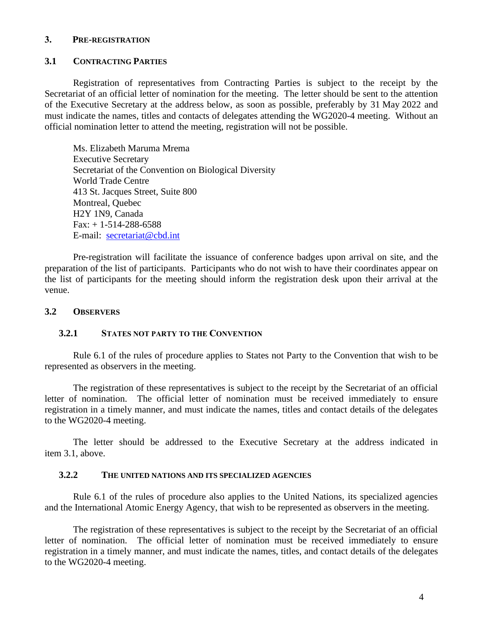#### **3. PRE-REGISTRATION**

#### **3.1 CONTRACTING PARTIES**

Registration of representatives from Contracting Parties is subject to the receipt by the Secretariat of an official letter of nomination for the meeting. The letter should be sent to the attention of the Executive Secretary at the address below, as soon as possible, preferably by 31 May 2022 and must indicate the names, titles and contacts of delegates attending the WG2020-4 meeting. Without an official nomination letter to attend the meeting, registration will not be possible.

Ms. Elizabeth Maruma Mrema Executive Secretary Secretariat of the Convention on Biological Diversity World Trade Centre 413 St. Jacques Street, Suite 800 Montreal, Quebec H2Y 1N9, Canada Fax:  $+1-514-288-6588$ E-mail: [secretariat@cbd.int](mailto:secretariat@cbd.int)

Pre-registration will facilitate the issuance of conference badges upon arrival on site, and the preparation of the list of participants. Participants who do not wish to have their coordinates appear on the list of participants for the meeting should inform the registration desk upon their arrival at the venue.

#### **3.2 OBSERVERS**

#### **3.2.1 STATES NOT PARTY TO THE CONVENTION**

Rule 6.1 of the rules of procedure applies to States not Party to the Convention that wish to be represented as observers in the meeting.

The registration of these representatives is subject to the receipt by the Secretariat of an official letter of nomination. The official letter of nomination must be received immediately to ensure registration in a timely manner, and must indicate the names, titles and contact details of the delegates to the WG2020-4 meeting.

The letter should be addressed to the Executive Secretary at the address indicated in item 3.1, above.

#### **3.2.2 THE UNITED NATIONS AND ITS SPECIALIZED AGENCIES**

Rule 6.1 of the rules of procedure also applies to the United Nations, its specialized agencies and the International Atomic Energy Agency, that wish to be represented as observers in the meeting.

The registration of these representatives is subject to the receipt by the Secretariat of an official letter of nomination. The official letter of nomination must be received immediately to ensure registration in a timely manner, and must indicate the names, titles, and contact details of the delegates to the WG2020-4 meeting.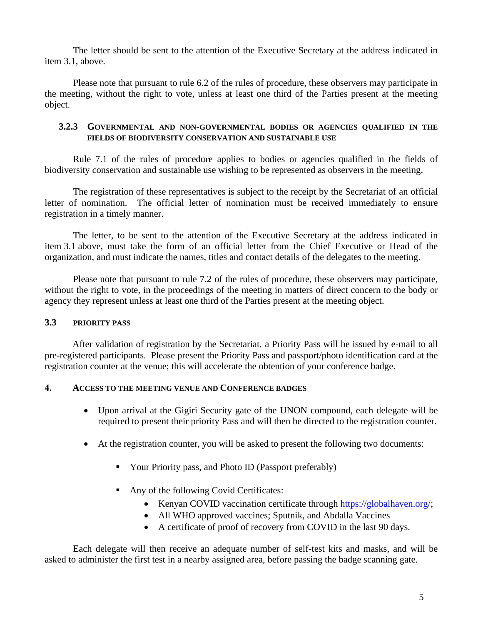The letter should be sent to the attention of the Executive Secretary at the address indicated in item 3.1, above.

Please note that pursuant to rule 6.2 of the rules of procedure, these observers may participate in the meeting, without the right to vote, unless at least one third of the Parties present at the meeting object.

#### **3.2.3 GOVERNMENTAL AND NON-GOVERNMENTAL BODIES OR AGENCIES QUALIFIED IN THE FIELDS OF BIODIVERSITY CONSERVATION AND SUSTAINABLE USE**

Rule 7.1 of the rules of procedure applies to bodies or agencies qualified in the fields of biodiversity conservation and sustainable use wishing to be represented as observers in the meeting.

The registration of these representatives is subject to the receipt by the Secretariat of an official letter of nomination. The official letter of nomination must be received immediately to ensure registration in a timely manner.

The letter, to be sent to the attention of the Executive Secretary at the address indicated in item 3.1 above, must take the form of an official letter from the Chief Executive or Head of the organization, and must indicate the names, titles and contact details of the delegates to the meeting.

Please note that pursuant to rule 7.2 of the rules of procedure, these observers may participate, without the right to vote, in the proceedings of the meeting in matters of direct concern to the body or agency they represent unless at least one third of the Parties present at the meeting object.

#### **3.3 PRIORITY PASS**

After validation of registration by the Secretariat, a Priority Pass will be issued by e-mail to all pre-registered participants. Please present the Priority Pass and passport/photo identification card at the registration counter at the venue; this will accelerate the obtention of your conference badge.

#### **4. ACCESS TO THE MEETING VENUE AND CONFERENCE BADGES**

- Upon arrival at the Gigiri Security gate of the UNON compound, each delegate will be required to present their priority Pass and will then be directed to the registration counter.
- At the registration counter, you will be asked to present the following two documents:
	- Your Priority pass, and Photo ID (Passport preferably)
	- Any of the following Covid Certificates:
		- Kenyan COVID vaccination certificate through [https://globalhaven.org/;](https://globalhaven.org/)
		- All WHO approved vaccines; Sputnik, and Abdalla Vaccines
		- A certificate of proof of recovery from COVID in the last 90 days.

Each delegate will then receive an adequate number of self-test kits and masks, and will be asked to administer the first test in a nearby assigned area, before passing the badge scanning gate.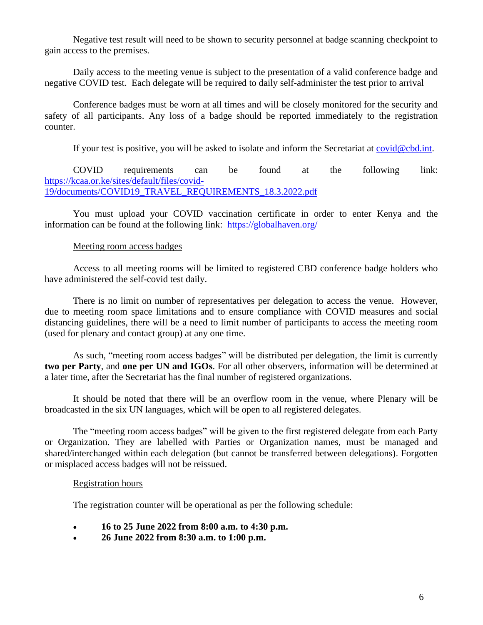Negative test result will need to be shown to security personnel at badge scanning checkpoint to gain access to the premises.

Daily access to the meeting venue is subject to the presentation of a valid conference badge and negative COVID test. Each delegate will be required to daily self-administer the test prior to arrival

Conference badges must be worn at all times and will be closely monitored for the security and safety of all participants. Any loss of a badge should be reported immediately to the registration counter.

If your test is positive, you will be asked to isolate and inform the Secretariat at [covid@cbd.int.](mailto:covid@cbd.int)

COVID requirements can be found at the following link: [https://kcaa.or.ke/sites/default/files/covid-](https://kcaa.or.ke/sites/default/files/covid-19/documents/COVID19_TRAVEL_REQUIREMENTS_18.3.2022.pdf)[19/documents/COVID19\\_TRAVEL\\_REQUIREMENTS\\_18.3.2022.pdf](https://kcaa.or.ke/sites/default/files/covid-19/documents/COVID19_TRAVEL_REQUIREMENTS_18.3.2022.pdf)

You must upload your COVID vaccination certificate in order to enter Kenya and the information can be found at the following link: <https://globalhaven.org/>

#### Meeting room access badges

Access to all meeting rooms will be limited to registered CBD conference badge holders who have administered the self-covid test daily.

There is no limit on number of representatives per delegation to access the venue. However, due to meeting room space limitations and to ensure compliance with COVID measures and social distancing guidelines, there will be a need to limit number of participants to access the meeting room (used for plenary and contact group) at any one time.

As such, "meeting room access badges" will be distributed per delegation, the limit is currently **two per Party**, and **one per UN and IGOs**. For all other observers, information will be determined at a later time, after the Secretariat has the final number of registered organizations.

It should be noted that there will be an overflow room in the venue, where Plenary will be broadcasted in the six UN languages, which will be open to all registered delegates.

The "meeting room access badges" will be given to the first registered delegate from each Party or Organization. They are labelled with Parties or Organization names, must be managed and shared/interchanged within each delegation (but cannot be transferred between delegations). Forgotten or misplaced access badges will not be reissued.

### Registration hours

The registration counter will be operational as per the following schedule:

- **16 to 25 June 2022 from 8:00 a.m. to 4:30 p.m.**
- **26 June 2022 from 8:30 a.m. to 1:00 p.m.**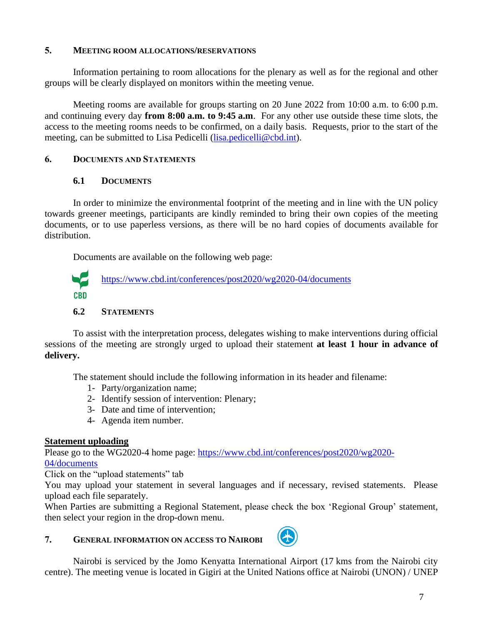## **5. MEETING ROOM ALLOCATIONS/RESERVATIONS**

Information pertaining to room allocations for the plenary as well as for the regional and other groups will be clearly displayed on monitors within the meeting venue.

Meeting rooms are available for groups starting on 20 June 2022 from 10:00 a.m. to 6:00 p.m. and continuing every day **from 8:00 a.m. to 9:45 a.m**. For any other use outside these time slots, the access to the meeting rooms needs to be confirmed, on a daily basis. Requests, prior to the start of the meeting, can be submitted to Lisa Pedicelli [\(lisa.pedicelli@cbd.int\)](mailto:lisa.pedicelli@cbd.int).

## **6. DOCUMENTS AND STATEMENTS**

### **6.1 DOCUMENTS**

In order to minimize the environmental footprint of the meeting and in line with the UN policy towards greener meetings, participants are kindly reminded to bring their own copies of the meeting documents, or to use paperless versions, as there will be no hard copies of documents available for distribution.

Documents are available on the following web page:



### **6.2 STATEMENTS**

To assist with the interpretation process, delegates wishing to make interventions during official sessions of the meeting are strongly urged to upload their statement **at least 1 hour in advance of delivery.**

The statement should include the following information in its header and filename:

- 1- Party/organization name;
- 2- Identify session of intervention: Plenary;
- 3- Date and time of intervention;
- 4- Agenda item number.

## **Statement uploading**

Please go to the WG2020-4 home page: [https://www.cbd.int/conferences/post2020/wg2020-](https://www.cbd.int/conferences/post2020/wg2020-04/documents) [04/documents](https://www.cbd.int/conferences/post2020/wg2020-04/documents)

Click on the "upload statements" tab

You may upload your statement in several languages and if necessary, revised statements. Please upload each file separately.

When Parties are submitting a Regional Statement, please check the box 'Regional Group' statement, then select your region in the drop-down menu.

# **7. GENERAL INFORMATION ON ACCESS TO NAIROBI**



Nairobi is serviced by the Jomo Kenyatta International Airport (17 kms from the Nairobi city centre). The meeting venue is located in Gigiri at the United Nations office at Nairobi (UNON) / UNEP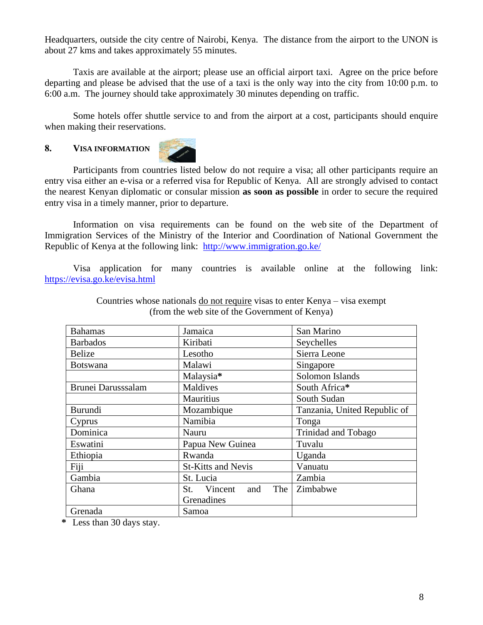Headquarters, outside the city centre of Nairobi, Kenya. The distance from the airport to the UNON is about 27 kms and takes approximately 55 minutes.

Taxis are available at the airport; please use an official airport taxi. Agree on the price before departing and please be advised that the use of a taxi is the only way into the city from 10:00 p.m. to 6:00 a.m. The journey should take approximately 30 minutes depending on traffic.

Some hotels offer shuttle service to and from the airport at a cost, participants should enquire when making their reservations.

#### **8. VISA INFORMATION**



Participants from countries listed below do not require a visa; all other participants require an entry visa either an e-visa or a referred visa for Republic of Kenya. All are strongly advised to contact the nearest Kenyan diplomatic or consular mission **as soon as possible** in order to secure the required entry visa in a timely manner, prior to departure.

Information on visa requirements can be found on the web site of the Department of Immigration Services of the Ministry of the Interior and Coordination of National Government the Republic of Kenya at the following link: http://www.immigration.go.ke/

Visa application for many countries is available online at the following link: <https://evisa.go.ke/evisa.html>

| <b>Bahamas</b>     | Jamaica                      | San Marino                   |  |
|--------------------|------------------------------|------------------------------|--|
|                    | Kiribati                     |                              |  |
| <b>Barbados</b>    |                              | Seychelles                   |  |
| <b>Belize</b>      | Lesotho                      | Sierra Leone                 |  |
| <b>Botswana</b>    | Malawi                       | Singapore                    |  |
|                    | Malaysia*                    | Solomon Islands              |  |
| Brunei Darusssalam | Maldives                     | South Africa*                |  |
|                    | Mauritius                    | South Sudan                  |  |
| Burundi            | Mozambique                   | Tanzania, United Republic of |  |
| Cyprus             | Namibia                      | Tonga                        |  |
| Dominica           | Nauru                        | Trinidad and Tobago          |  |
| Eswatini           | Papua New Guinea             | Tuvalu                       |  |
| Ethiopia           | Rwanda                       | Uganda                       |  |
| Fiji               | <b>St-Kitts and Nevis</b>    | Vanuatu                      |  |
| Gambia             | St. Lucia                    | Zambia                       |  |
| Ghana              | The<br>St.<br>Vincent<br>and | Zimbabwe                     |  |
|                    | Grenadines                   |                              |  |
| Grenada            | Samoa                        |                              |  |

Countries whose nationals do not require visas to enter Kenya – visa exempt (from the web site of the Government of Kenya)

**\*** Less than 30 days stay.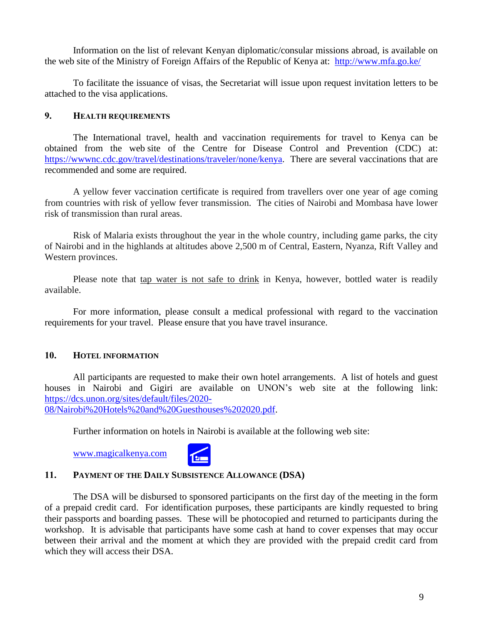Information on the list of relevant Kenyan diplomatic/consular missions abroad, is available on the web site of the Ministry of Foreign Affairs of the Republic of Kenya at: <http://www.mfa.go.ke/>

To facilitate the issuance of visas, the Secretariat will issue upon request invitation letters to be attached to the visa applications.

# **9. HEALTH REQUIREMENTS**

The International travel, health and vaccination requirements for travel to Kenya can be obtained from the web site of the Centre for Disease Control and Prevention (CDC) at: [https://wwwnc.cdc.gov/travel/destinations/traveler/none/kenya.](https://wwwnc.cdc.gov/travel/destinations/traveler/none/kenya) There are several vaccinations that are recommended and some are required.

A yellow fever vaccination certificate is required from travellers over one year of age coming from countries with risk of yellow fever transmission. The cities of Nairobi and Mombasa have lower risk of transmission than rural areas.

Risk of Malaria exists throughout the year in the whole country, including game parks, the city of Nairobi and in the highlands at altitudes above 2,500 m of Central, Eastern, Nyanza, Rift Valley and Western provinces.

Please note that tap water is not safe to drink in Kenya, however, bottled water is readily available.

For more information, please consult a medical professional with regard to the vaccination requirements for your travel. Please ensure that you have travel insurance.

## <span id="page-8-0"></span>**10. HOTEL INFORMATION**

All participants are requested to make their own hotel arrangements. A list of hotels and guest houses in Nairobi and Gigiri are available on UNON's web site at the following link: [https://dcs.unon.org/sites/default/files/2020-](https://dcs.unon.org/sites/default/files/2020-08/Nairobi%20Hotels%20and%20Guesthouses%202020.pdf) [08/Nairobi%20Hotels%20and%20Guesthouses%202020.pdf.](https://dcs.unon.org/sites/default/files/2020-08/Nairobi%20Hotels%20and%20Guesthouses%202020.pdf)

Further information on hotels in Nairobi is available at the following web site:

[www.magicalkenya.com](http://www.magicalkenya.com/)



# **11. PAYMENT OF THE DAILY SUBSISTENCE ALLOWANCE (DSA)**

The DSA will be disbursed to sponsored participants on the first day of the meeting in the form of a prepaid credit card. For identification purposes, these participants are kindly requested to bring their passports and boarding passes. These will be photocopied and returned to participants during the workshop. It is advisable that participants have some cash at hand to cover expenses that may occur between their arrival and the moment at which they are provided with the prepaid credit card from which they will access their DSA.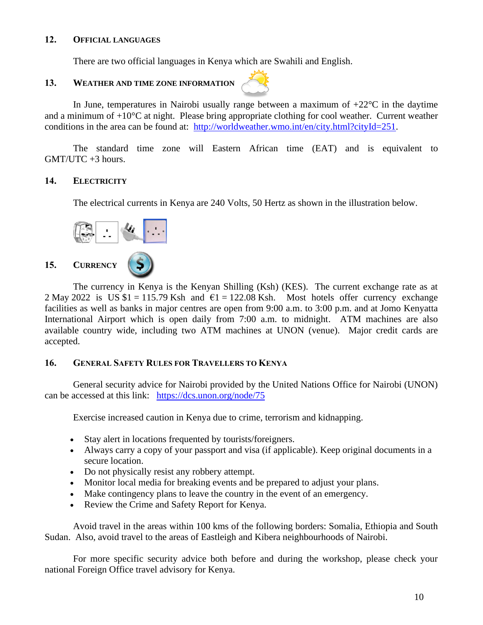#### **12. OFFICIAL LANGUAGES**

There are two official languages in Kenya which are Swahili and English.

# <span id="page-9-0"></span>**13. WEATHER AND TIME ZONE INFORMATION**



In June, temperatures in Nairobi usually range between a maximum of  $+22^{\circ}C$  in the daytime and a minimum of  $+10^{\circ}$ C at night. Please bring appropriate clothing for cool weather. Current weather conditions in the area can be found at: [http://worldweather.wmo.int/en/city.html?cityId=251.](http://worldweather.wmo.int/en/city.html?cityId=251)

The standard time zone will Eastern African time (EAT) and is equivalent to GMT/UTC +3 hours.

### **14. ELECTRICITY**

The electrical currents in Kenya are 240 Volts, 50 Hertz as shown in the illustration below.



<span id="page-9-1"></span>The currency in Kenya is the Kenyan Shilling (Ksh) (KES). The current exchange rate as at 2 May 2022 is US  $$1 = 115.79$  Ksh and  $$1 = 122.08$  Ksh. Most hotels offer currency exchange facilities as well as banks in major centres are open from 9:00 a.m. to 3:00 p.m. and at Jomo Kenyatta International Airport which is open daily from 7:00 a.m. to midnight. ATM machines are also available country wide, including two ATM machines at UNON (venue). Major credit cards are accepted.

## **16. GENERAL SAFETY RULES FOR TRAVELLERS TO KENYA**

General security advice for Nairobi provided by the United Nations Office for Nairobi (UNON) can be accessed at this link: <https://dcs.unon.org/node/75>

Exercise increased caution in Kenya due to crime, terrorism and kidnapping.

- Stay alert in locations frequented by tourists/foreigners.
- Always carry a copy of your passport and visa (if applicable). Keep original documents in a secure location.
- Do not physically resist any robbery attempt.
- Monitor local media for breaking events and be prepared to adjust your plans.
- Make contingency plans to leave the country in the event of an emergency.
- Review the [Crime and Safety Report](https://www.osac.gov/Pages/ContentReportDetails.aspx?cid=25693) for Kenya.

Avoid travel in the areas within 100 kms of the following borders: Somalia, Ethiopia and South Sudan. Also, avoid travel to the areas of Eastleigh and Kibera neighbourhoods of Nairobi.

For more specific security advice both before and during the workshop, please check your national Foreign Office travel advisory for Kenya.